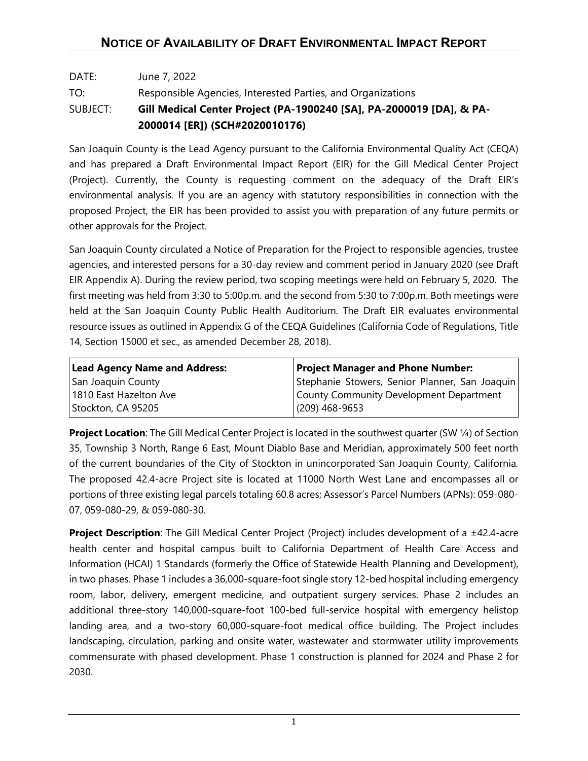## DATE: June 7, 2022 TO: Responsible Agencies, Interested Parties, and Organizations SUBJECT: **Gill Medical Center Project (PA-1900240 [SA], PA-2000019 [DA], & PA-2000014 [ER]) (SCH#2020010176)**

San Joaquin County is the Lead Agency pursuant to the California Environmental Quality Act (CEQA) and has prepared a Draft Environmental Impact Report (EIR) for the Gill Medical Center Project (Project). Currently, the County is requesting comment on the adequacy of the Draft EIR's environmental analysis. If you are an agency with statutory responsibilities in connection with the proposed Project, the EIR has been provided to assist you with preparation of any future permits or other approvals for the Project.

San Joaquin County circulated a Notice of Preparation for the Project to responsible agencies, trustee agencies, and interested persons for a 30-day review and comment period in January 2020 (see Draft EIR Appendix A). During the review period, two scoping meetings were held on February 5, 2020. The first meeting was held from 3:30 to 5:00p.m. and the second from 5:30 to 7:00p.m. Both meetings were held at the San Joaquin County Public Health Auditorium. The Draft EIR evaluates environmental resource issues as outlined in Appendix G of the CEQA Guidelines (California Code of Regulations, Title 14, Section 15000 et sec., as amended December 28, 2018).

| <b>Lead Agency Name and Address:</b> | <b>Project Manager and Phone Number:</b>       |
|--------------------------------------|------------------------------------------------|
| San Joaquin County                   | Stephanie Stowers, Senior Planner, San Joaquin |
| 1810 East Hazelton Ave               | County Community Development Department        |
| Stockton, CA 95205                   | $(209)$ 468-9653                               |

**Project Location**: The Gill Medical Center Project is located in the southwest quarter (SW 1/4) of Section 35, Township 3 North, Range 6 East, Mount Diablo Base and Meridian, approximately 500 feet north of the current boundaries of the City of Stockton in unincorporated San Joaquin County, California*.* The proposed 42.4-acre Project site is located at 11000 North West Lane and encompasses all or portions of three existing legal parcels totaling 60.8 acres; Assessor's Parcel Numbers (APNs): 059-080- 07, 059-080-29, & 059-080-30.

**Project Description**: The Gill Medical Center Project (Project) includes development of a ±42.4-acre health center and hospital campus built to California Department of Health Care Access and Information (HCAI) 1 Standards (formerly the Office of Statewide Health Planning and Development), in two phases. Phase 1 includes a 36,000-square-foot single story 12-bed hospital including emergency room, labor, delivery, emergent medicine, and outpatient surgery services. Phase 2 includes an additional three-story 140,000-square-foot 100-bed full-service hospital with emergency helistop landing area, and a two-story 60,000-square-foot medical office building. The Project includes landscaping, circulation, parking and onsite water, wastewater and stormwater utility improvements commensurate with phased development. Phase 1 construction is planned for 2024 and Phase 2 for 2030.